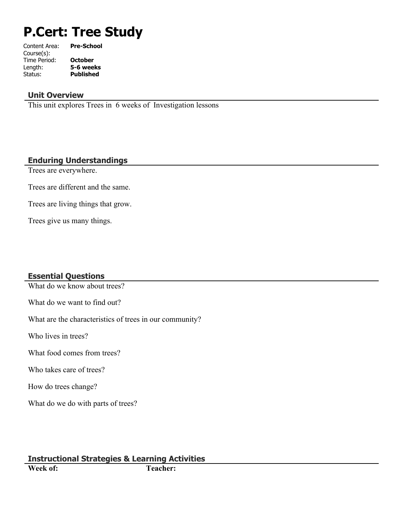# **P.Cert: Tree Study**

| Content Area: | <b>Pre-School</b> |
|---------------|-------------------|
| Course(s):    |                   |
| Time Period:  | <b>October</b>    |
| Length:       | 5-6 weeks         |
| Status:       | <b>Published</b>  |
|               |                   |

### **Unit Overview**

This unit explores Trees in 6 weeks of Investigation lessons

### **Enduring Understandings**

Trees are everywhere.

Trees are different and the same.

Trees are living things that grow.

Trees give us many things.

# **Essential Questions**

What do we know about trees?

What do we want to find out?

What are the characteristics of trees in our community?

Who lives in trees?

What food comes from trees?

Who takes care of trees?

How do trees change?

What do we do with parts of trees?

# **Instructional Strategies & Learning Activities**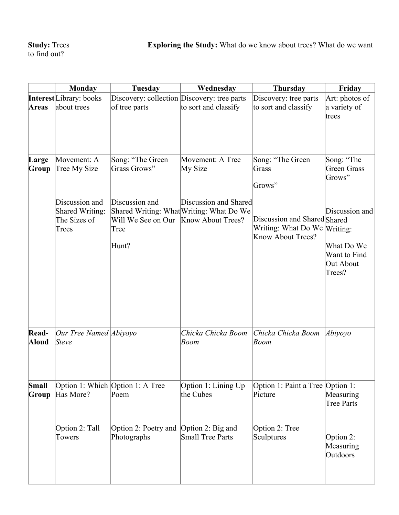|                | <b>Monday</b>                                              | Tuesday                                                                 | Wednesday                                                         | Thursday                                                                          | Friday                                                              |
|----------------|------------------------------------------------------------|-------------------------------------------------------------------------|-------------------------------------------------------------------|-----------------------------------------------------------------------------------|---------------------------------------------------------------------|
| <b>Areas</b>   | <b>Interest</b> Library: books<br>about trees              | Discovery: collection Discovery: tree parts<br>of tree parts            | to sort and classify                                              | Discovery: tree parts<br>to sort and classify                                     | Art: photos of<br>a variety of<br>trees                             |
| Large<br>Group | Movement: A<br>Tree My Size                                | Song: "The Green<br>Grass Grows"                                        | Movement: A Tree<br>My Size                                       | Song: "The Green<br>Grass<br>Grows"                                               | Song: "The<br><b>Green Grass</b><br>Grows"                          |
|                | Discussion and<br>Shared Writing:<br>The Sizes of<br>Trees | Discussion and<br>Will We See on Our Know About Trees?<br>Tree<br>Hunt? | Discussion and Shared<br>Shared Writing: What Writing: What Do We | Discussion and Shared Shared<br>Writing: What Do We Writing:<br>Know About Trees? | Discussion and<br>What Do We<br>Want to Find<br>Out About<br>Trees? |
| Read-<br>Aloud | Our Tree Named   <i>Abiyoyo</i><br>Steve                   |                                                                         | Chicka Chicka Boom<br>Boom                                        | Chicka Chicka Boom<br>Boom                                                        | $\lambda$ biyoyo                                                    |
| Small<br>Group | Has More?                                                  | Option 1: Which Option 1: A Tree<br>Poem                                | Option 1: Lining Up<br>the Cubes                                  | Option 1: Paint a Tree Option 1:<br>Picture                                       | Measuring<br><b>Tree Parts</b>                                      |
|                | Option 2: Tall<br>Towers                                   | Option 2: Poetry and<br>Photographs                                     | Option 2: Big and<br>Small Tree Parts                             | Option 2: Tree<br>Sculptures                                                      | Option 2:<br>Measuring<br>Outdoors                                  |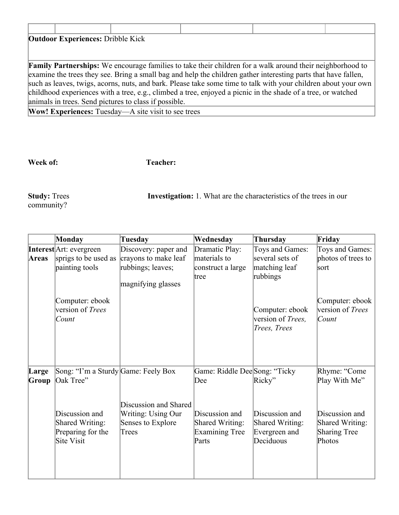| <b>Outdoor Experiences: Dribble Kick</b> |                                                            |                                                                                                                  |  |
|------------------------------------------|------------------------------------------------------------|------------------------------------------------------------------------------------------------------------------|--|
|                                          |                                                            |                                                                                                                  |  |
|                                          |                                                            |                                                                                                                  |  |
|                                          |                                                            | <b>Family Partnerships:</b> We encourage families to take their children for a walk around their neighborhood to |  |
|                                          |                                                            | examine the trees they see. Bring a small bag and help the children gather interesting parts that have fallen,   |  |
|                                          |                                                            | such as leaves, twigs, acorns, nuts, and bark. Please take some time to talk with your children about your own   |  |
|                                          |                                                            | childhood experiences with a tree, e.g., climbed a tree, enjoyed a picnic in the shade of a tree, or watched     |  |
|                                          | animals in trees. Send pictures to class if possible.      |                                                                                                                  |  |
|                                          | <b>Wow! Experiences:</b> Tuesday—A site visit to see trees |                                                                                                                  |  |

**Week of: Teacher:** 

community?

**Study:** Trees **Investigation:** 1. What are the characteristics of the trees in our

|                | Monday                                                                                                                   | Tuesday                                                                                 | Wednesday                                                                                                   | Thursday                                                                  | Friday                                                                                              |
|----------------|--------------------------------------------------------------------------------------------------------------------------|-----------------------------------------------------------------------------------------|-------------------------------------------------------------------------------------------------------------|---------------------------------------------------------------------------|-----------------------------------------------------------------------------------------------------|
| Areas          | <b>Interest</b> Art: evergreen<br>sprigs to be used as<br>painting tools                                                 | Discovery: paper and<br>crayons to make leaf<br>rubbings; leaves;<br>magnifying glasses | Dramatic Play:<br>materials to<br>construct a large<br>tree                                                 | Toys and Games:<br>several sets of<br>matching leaf<br>rubbings           | Toys and Games:<br>photos of trees to<br>sort                                                       |
|                | Computer: ebook<br>version of Trees<br>Count                                                                             |                                                                                         |                                                                                                             | Computer: ebook<br>version of <i>Trees</i> ,<br>Trees, Trees              | Computer: ebook<br>version of Trees<br>Count                                                        |
| Large<br>Group | Song: "I'm a Sturdy Game: Feely Box<br>Oak Tree"<br>Discussion and<br>Shared Writing:<br>Preparing for the<br>Site Visit | Discussion and Shared<br>Writing: Using Our<br>Senses to Explore<br>Trees               | Game: Riddle Dee Song: "Ticky<br>Dee<br>Discussion and<br>Shared Writing:<br><b>Examining Tree</b><br>Parts | Ricky"<br>Discussion and<br>Shared Writing:<br>Evergreen and<br>Deciduous | Rhyme: "Come<br>Play With Me"<br>Discussion and<br>Shared Writing:<br><b>Sharing Tree</b><br>Photos |
|                |                                                                                                                          |                                                                                         |                                                                                                             |                                                                           |                                                                                                     |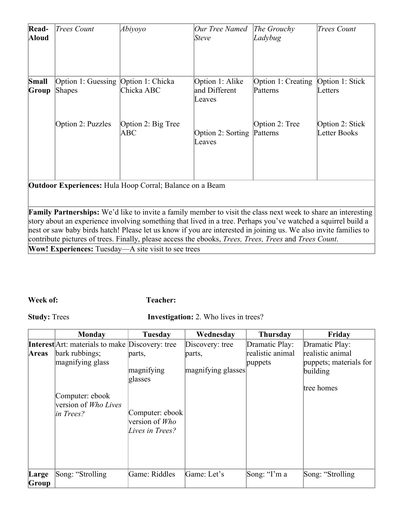| Read-<br>Aloud                                                  | Trees Count                                          | Abiyoyo                   | Our Tree Named<br><i>Steve</i>             | The Growthy<br>Ladybug                           | <b>Trees Count</b>              |  |  |
|-----------------------------------------------------------------|------------------------------------------------------|---------------------------|--------------------------------------------|--------------------------------------------------|---------------------------------|--|--|
| Small<br>Group                                                  | Option 1: Guessing Option 1: Chicka<br><b>Shapes</b> | Chicka ABC                | Option 1: Alike<br>and Different<br>Leaves | Option 1: Creating   Option 1: Stick<br>Patterns | Letters                         |  |  |
|                                                                 | Option 2: Puzzles                                    | Option 2: Big Tree<br>ABC | Option 2: Sorting<br>Leaves                | Option 2: Tree<br>Patterns                       | Option 2: Stick<br>Letter Books |  |  |
| <b>Outdoor Experiences:</b> Hula Hoop Corral; Balance on a Beam |                                                      |                           |                                            |                                                  |                                 |  |  |

**Family Partnerships:** We'd like to invite a family member to visit the class next week to share an interesting story about an experience involving something that lived in a tree. Perhaps you've watched a squirrel build a nest or saw baby birds hatch! Please let us know if you are interested in joining us. We also invite families to contribute pictures of trees. Finally, please access the ebooks, *Trees, Trees, Trees* and *Trees Count*.

**Wow! Experiences:** Tuesday—A site visit to see trees

#### **Week of: Teacher:**

**Study:** Trees **Investigation:** 2. Who lives in trees?

|                | <b>Monday</b>                                                                              | Tuesday                                                                                 | Wednesday                    | <b>Thursday</b>             | Friday                                                               |
|----------------|--------------------------------------------------------------------------------------------|-----------------------------------------------------------------------------------------|------------------------------|-----------------------------|----------------------------------------------------------------------|
|                | <b>Interest</b> Art: materials to make Discovery: tree                                     |                                                                                         | Discovery: tree              | Dramatic Play:              | Dramatic Play:                                                       |
| Areas          | bark rubbings;<br>magnifying glass<br>Computer: ebook<br>version of Who Lives<br>in Trees? | parts,<br>magnifying<br>glasses<br>Computer: ebook<br>version of Who<br>Lives in Trees? | parts,<br>magnifying glasses | realistic animal<br>puppets | realistic animal<br>puppets; materials for<br>building<br>tree homes |
| Large<br>Group | Song: "Strolling"                                                                          | Game: Riddles                                                                           | Game: Let's                  | Song: "I'm a                | Song: "Strolling                                                     |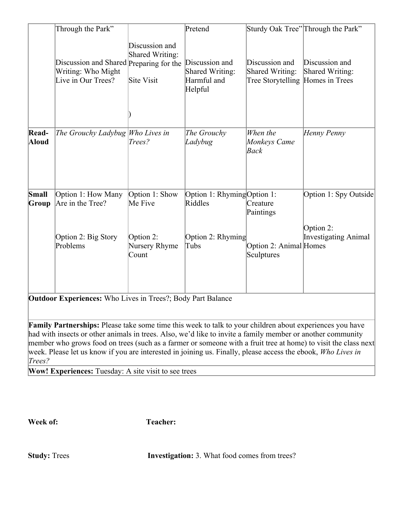|                | Through the Park"                                                                   |                                                 | Pretend                                                            |                                                                       | Sturdy Oak Tree" Through the Park"       |
|----------------|-------------------------------------------------------------------------------------|-------------------------------------------------|--------------------------------------------------------------------|-----------------------------------------------------------------------|------------------------------------------|
|                | Discussion and Shared Preparing for the<br>Writing: Who Might<br>Live in Our Trees? | Discussion and<br>Shared Writing:<br>Site Visit | Discussion and<br><b>Shared Writing:</b><br>Harmful and<br>Helpful | Discussion and<br>Shared Writing:<br>Tree Storytelling Homes in Trees | Discussion and<br>Shared Writing:        |
|                |                                                                                     |                                                 |                                                                    |                                                                       |                                          |
| Read-<br>Aloud | The Grouchy Ladybug Who Lives in                                                    | Trees?                                          | The Grouchy<br>Ladybug                                             | When the<br>Monkeys Came<br>Back                                      | Henny Penny                              |
| Small<br>Group | Option 1: How Many<br>Are in the Tree?                                              | Option 1: Show<br>Me Five                       | Option 1: Rhyming Option 1:<br>Riddles                             | Creature<br>Paintings                                                 | Option 1: Spy Outside                    |
|                | Option 2: Big Story<br>Problems                                                     | Option 2:<br>Nursery Rhyme<br>Count             | Option 2: Rhyming<br>Tubs                                          | Option 2: Animal Homes<br>Sculptures                                  | Option 2:<br><b>Investigating Animal</b> |
|                | <b>Outdoor Experiences:</b> Who Lives in Trees?; Body Part Balance                  |                                                 |                                                                    |                                                                       |                                          |

**Family Partnerships:** Please take some time this week to talk to your children about experiences you have had with insects or other animals in trees. Also, we'd like to invite a family member or another community member who grows food on trees (such as a farmer or someone with a fruit tree at home) to visit the class next week. Please let us know if you are interested in joining us. Finally, please access the ebook, *Who Lives in Trees?*

**Wow! Experiences:** Tuesday: A site visit to see trees

**Week of: Teacher:** 

**Study:** Trees **Investigation:** 3. What food comes from trees?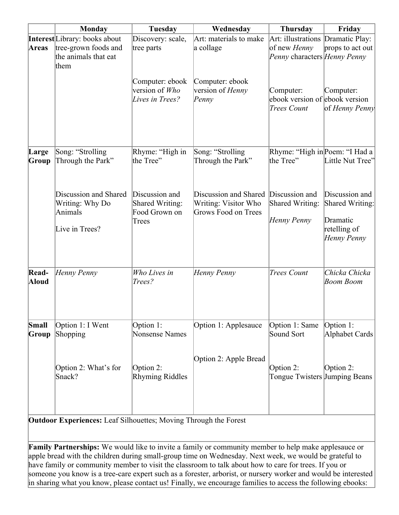|                | <b>Monday</b>                                                                                | Tuesday                                                     | Wednesday                                                            | <b>Thursday</b>                                                                   | Friday                                                                       |
|----------------|----------------------------------------------------------------------------------------------|-------------------------------------------------------------|----------------------------------------------------------------------|-----------------------------------------------------------------------------------|------------------------------------------------------------------------------|
| <b>Areas</b>   | <b>Interest</b> Library: books about<br>tree-grown foods and<br>the animals that eat<br>them | Discovery: scale,<br>tree parts                             | Art: materials to make<br>a collage                                  | Art: illustrations Dramatic Play:<br>of new Henny<br>Penny characters Henny Penny | props to act out                                                             |
|                |                                                                                              | Computer: ebook<br>version of Who<br>Lives in Trees?        | Computer: ebook<br>version of <i>Henny</i><br>Pennv                  | Computer:<br>ebook version of ebook version<br><b>Trees Count</b>                 | Computer:<br>of Henny Penny                                                  |
| Large<br>Group | Song: "Strolling<br>Through the Park"                                                        | Rhyme: "High in<br>the Tree"                                | Song: "Strolling<br>Through the Park"                                | Rhyme: "High in Poem: "I Had a<br>the Tree"                                       | Little Nut Tree"                                                             |
|                | Discussion and Shared<br>Writing: Why Do<br>Animals<br>Live in Trees?                        | Discussion and<br>Shared Writing:<br>Food Grown on<br>Trees | Discussion and Shared<br>Writing: Visitor Who<br>Grows Food on Trees | Discussion and<br>Shared Writing:<br>Henny Penny                                  | Discussion and<br>Shared Writing:<br>Dramatic<br>retelling of<br>Henny Penny |
| Read-<br>Aloud | Henny Penny                                                                                  | Who Lives in<br>Trees?                                      | Henny Penny                                                          | <b>Trees Count</b>                                                                | Chicka Chicka<br>Boom Boom                                                   |
| Small<br>Group | Option 1: I Went<br>Shopping                                                                 | Option 1:<br><b>Nonsense Names</b>                          | Option 1: Applesauce                                                 | Option 1: Same<br>Sound Sort                                                      | Option 1:<br>Alphabet Cards                                                  |
|                | Option 2: What's for<br>Snack?                                                               | Option 2:<br><b>Rhyming Riddles</b>                         | Option 2: Apple Bread                                                | Option 2:<br>Tongue Twisters Jumping Beans                                        | Option 2:                                                                    |

**Outdoor Experiences:** Leaf Silhouettes; Moving Through the Forest

**Family Partnerships:** We would like to invite a family or community member to help make applesauce or apple bread with the children during small-group time on Wednesday. Next week, we would be grateful to have family or community member to visit the classroom to talk about how to care for trees. If you or someone you know is a tree-care expert such as a forester, arborist, or nursery worker and would be interested in sharing what you know, please contact us! Finally, we encourage families to access the following ebooks: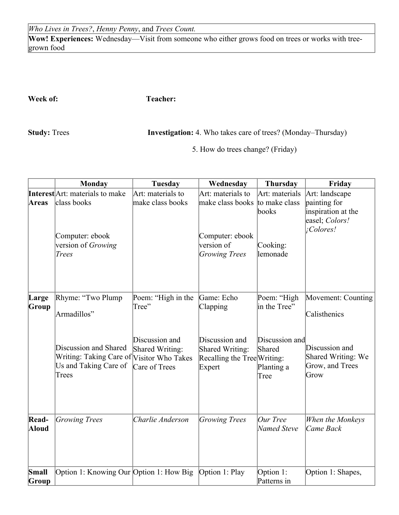*Who Lives in Trees?*, *Henny Penny*, and *Trees Count.*

**Wow! Experiences:** Wednesday—Visit from someone who either grows food on trees or works with treegrown food

**Week of: Teacher:** 

**Study:** Trees **Investigation:** 4. Who takes care of trees? (Monday–Thursday)

5. How do trees change? (Friday)

|                | <b>Monday</b>                                                                                                                             | <b>Tuesday</b>                                                                    | Wednesday                                                                                            | <b>Thursday</b>                                                               | Friday                                                                                                |
|----------------|-------------------------------------------------------------------------------------------------------------------------------------------|-----------------------------------------------------------------------------------|------------------------------------------------------------------------------------------------------|-------------------------------------------------------------------------------|-------------------------------------------------------------------------------------------------------|
| Areas          | <b>Interest</b> Art: materials to make<br>class books<br>Computer: ebook<br>version of Growing<br>Trees                                   | Art: materials to<br>make class books                                             | Art: materials to<br>make class books<br>Computer: ebook<br>version of<br><b>Growing Trees</b>       | Art: materials<br>to make class<br>books<br>Cooking:<br>lemonade              | Art: landscape<br>painting for<br>inspiration at the<br>easel; Colors!<br>¡Colores!                   |
| Large<br>Group | Rhyme: "Two Plump"<br>Armadillos"<br>Discussion and Shared<br>Writing: Taking Care of Visitor Who Takes<br>Us and Taking Care of<br>Trees | Poem: "High in the<br>Tree"<br>Discussion and<br>Shared Writing:<br>Care of Trees | Game: Echo<br>Clapping<br>Discussion and<br>Shared Writing:<br>Recalling the Tree Writing:<br>Expert | Poem: "High<br>in the Tree"<br>Discussion and<br>Shared<br>Planting a<br>Tree | Movement: Counting<br>Calisthenics<br>Discussion and<br>Shared Writing: We<br>Grow, and Trees<br>Grow |
| Read-<br>Aloud | Growing Trees                                                                                                                             | Charlie Anderson                                                                  | <b>Growing Trees</b>                                                                                 | Our Tree<br>Named Steve                                                       | When the Monkeys<br>Came Back                                                                         |
| Small<br>Group | Option 1: Knowing Our Option 1: How Big                                                                                                   |                                                                                   | Option 1: Play                                                                                       | Option 1:<br>Patterns in                                                      | Option 1: Shapes,                                                                                     |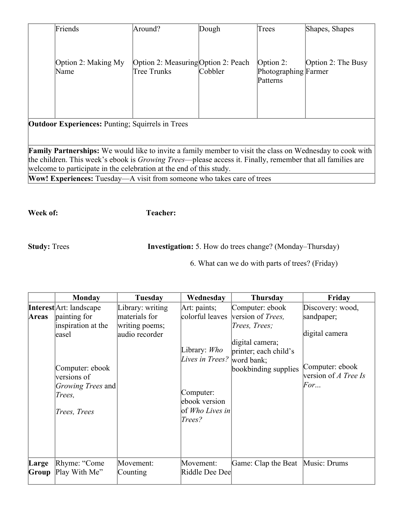|                                                                                                                    | Friends                                                                       | Around?                                            | Dough   | Trees                                            | Shapes, Shapes     |  |
|--------------------------------------------------------------------------------------------------------------------|-------------------------------------------------------------------------------|----------------------------------------------------|---------|--------------------------------------------------|--------------------|--|
|                                                                                                                    | Option 2: Making My<br>Name                                                   | Option 2: Measuring Option 2: Peach<br>Tree Trunks | Cobbler | Option $2$ :<br>Photographing Farmer<br>Patterns | Option 2: The Busy |  |
|                                                                                                                    | <b>Outdoor Experiences: Punting: Squirrels in Trees</b>                       |                                                    |         |                                                  |                    |  |
|                                                                                                                    |                                                                               |                                                    |         |                                                  |                    |  |
| <b>Family Partnerships:</b> We would like to invite a family member to visit the class on Wednesday to cook with   |                                                                               |                                                    |         |                                                  |                    |  |
| the children. This week's ebook is <i>Growing Trees</i> —please access it. Finally, remember that all families are |                                                                               |                                                    |         |                                                  |                    |  |
| welcome to participate in the celebration at the end of this study.                                                |                                                                               |                                                    |         |                                                  |                    |  |
|                                                                                                                    | <b>Wow! Experiences:</b> Tuesday—A visit from someone who takes care of trees |                                                    |         |                                                  |                    |  |

**Week of: Teacher:** 

**Study:** Trees **Investigation:** 5. How do trees change? (Monday–Thursday)

6. What can we do with parts of trees? (Friday)

|                | <b>Monday</b>                                                                                                                                                          | <b>Tuesday</b>                                                        | Wednesday                                                                                                                                        | <b>Thursday</b>                                                                                                                   | Friday                                                                                             |
|----------------|------------------------------------------------------------------------------------------------------------------------------------------------------------------------|-----------------------------------------------------------------------|--------------------------------------------------------------------------------------------------------------------------------------------------|-----------------------------------------------------------------------------------------------------------------------------------|----------------------------------------------------------------------------------------------------|
| <b>Areas</b>   | <b>Interest</b> Art: landscape<br>painting for<br>inspiration at the<br>leasel<br>Computer: ebook<br>versions of<br><i>Growing Trees</i> and<br>Trees,<br>Trees, Trees | Library: writing<br>materials for<br>writing poems;<br>audio recorder | $Art: \text{pairs};$<br>colorful leaves<br>Library: Who<br>Lives in Trees? word bank;<br>Computer:<br>ebook version<br>of Who Lives in<br>Trees? | Computer: ebook<br>version of <i>Trees</i> ,<br>Trees, Trees;<br>digital camera;<br>printer; each child's<br>bookbinding supplies | Discovery: wood,<br>sandpaper;<br>digital camera<br>Computer: ebook<br>version of A Tree Is<br>For |
| Large<br>Group | Rhyme: "Come<br>Play With Me"                                                                                                                                          | Movement:<br>Counting                                                 | Movement:<br>Riddle Dee Dee                                                                                                                      | Game: Clap the Beat Music: Drums                                                                                                  |                                                                                                    |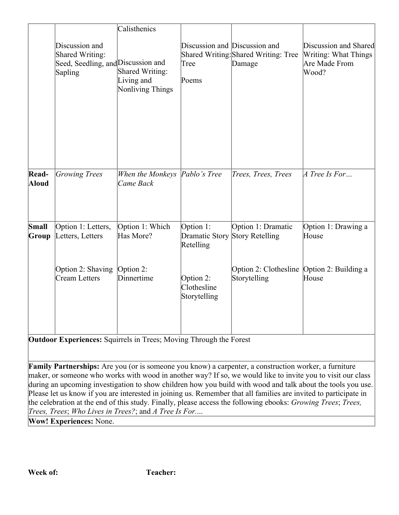|                |                                                                                    | Calisthenics                                             |                                                |                                                            |                                                                         |
|----------------|------------------------------------------------------------------------------------|----------------------------------------------------------|------------------------------------------------|------------------------------------------------------------|-------------------------------------------------------------------------|
|                | Discussion and<br>Shared Writing:<br>Seed, Seedling, and Discussion and<br>Sapling | Shared Writing:<br>Living and<br><b>Nonliving Things</b> | Discussion and Discussion and<br>Tree<br>Poems | Shared Writing: Shared Writing: Tree<br>Damage             | Discussion and Shared<br>Writing: What Things<br>Are Made From<br>Wood? |
| Read-<br>Aloud | Growing Trees                                                                      | When the Monkeys   Pablo's Tree<br>Came Back             |                                                | Trees, Trees, Trees                                        | A Tree Is For                                                           |
| Small<br>Group | Option 1: Letters,<br>Letters, Letters                                             | Option 1: Which<br>Has More?                             | Option 1:<br>Dramatic Story<br>Retelling       | Option 1: Dramatic<br>Story Retelling                      | Option 1: Drawing a<br>House                                            |
|                | Option 2: Shaving<br>Cream Letters                                                 | Option 2:<br>Dinnertime                                  | Option 2:<br>Clothesline<br>Storytelling       | Option 2: Clothesline Option 2: Building a<br>Storytelling | House                                                                   |

**Outdoor Experiences:** Squirrels in Trees; Moving Through the Forest

**Family Partnerships:** Are you (or is someone you know) a carpenter, a construction worker, a furniture maker, or someone who works with wood in another way? If so, we would like to invite you to visit our class during an upcoming investigation to show children how you build with wood and talk about the tools you use. Please let us know if you are interested in joining us. Remember that all families are invited to participate in the celebration at the end of this study. Finally, please access the following ebooks: *Growing Trees*; *Trees, Trees, Trees*; *Who Lives in Trees?*; and *A Tree Is For.*...

**Wow! Experiences:** None.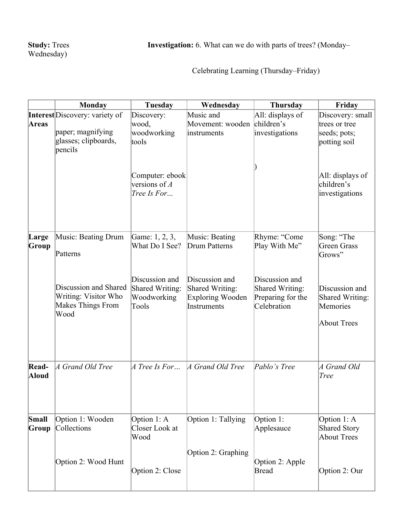Celebrating Learning (Thursday–Friday)

|                | Monday                                                                                        | Tuesday                                                                                          | Wednesday                                                                   | <b>Thursday</b>                                                       | Friday                                                                                                                |
|----------------|-----------------------------------------------------------------------------------------------|--------------------------------------------------------------------------------------------------|-----------------------------------------------------------------------------|-----------------------------------------------------------------------|-----------------------------------------------------------------------------------------------------------------------|
| Areas          | <b>Interest</b> Discovery: variety of<br>paper; magnifying<br>glasses; clipboards,<br>pencils | Discovery:<br>wood,<br>woodworking<br>tools<br>Computer: ebook<br>versions of $A$<br>Tree Is For | Music and<br>Movement: wooden<br>instruments                                | All: displays of<br>children's<br>investigations                      | Discovery: small<br>trees or tree<br>seeds; pots;<br>potting soil<br>All: displays of<br>children's<br>investigations |
| Large<br>Group | Music: Beating Drum<br>Patterns                                                               | Game: 1, 2, 3,<br>What Do I See?                                                                 | Music: Beating<br>Drum Patterns                                             | Rhyme: "Come<br>Play With Me"                                         | Song: "The<br>Green Grass<br>Grows"                                                                                   |
|                | Discussion and Shared<br>Writing: Visitor Who<br>Makes Things From<br>Wood                    | Discussion and<br>Shared Writing:<br>Woodworking<br>Tools                                        | Discussion and<br>Shared Writing:<br><b>Exploring Wooden</b><br>Instruments | Discussion and<br>Shared Writing:<br>Preparing for the<br>Celebration | Discussion and<br>Shared Writing:<br>Memories<br><b>About Trees</b>                                                   |
| Read-<br>Aloud | A Grand Old Tree                                                                              | A Tree Is For                                                                                    | A Grand Old Tree                                                            | Pablo's Tree                                                          | A Grand Old<br><b>Tree</b>                                                                                            |
| Small<br>Group | Option 1: Wooden<br>Collections                                                               | Option $1: A$<br>Closer Look at<br>Wood                                                          | Option 1: Tallying<br>Option 2: Graphing                                    | Option 1:<br>Applesauce                                               | Option $1: A$<br>Shared Story<br>About Trees                                                                          |
|                | Option 2: Wood Hunt                                                                           | Option 2: Close                                                                                  |                                                                             | Option 2: Apple<br>Bread                                              | Option 2: Our                                                                                                         |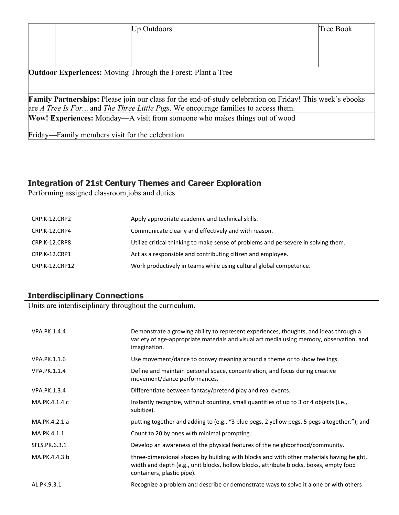|                                                                                                                                                                                                        |                                                 | <b>Up Outdoors</b> |  | Tree Book |
|--------------------------------------------------------------------------------------------------------------------------------------------------------------------------------------------------------|-------------------------------------------------|--------------------|--|-----------|
|                                                                                                                                                                                                        |                                                 |                    |  |           |
|                                                                                                                                                                                                        |                                                 |                    |  |           |
|                                                                                                                                                                                                        |                                                 |                    |  |           |
| <b>Outdoor Experiences:</b> Moving Through the Forest; Plant a Tree                                                                                                                                    |                                                 |                    |  |           |
| <b>Family Partnerships:</b> Please join our class for the end-of-study celebration on Friday! This week's ebooks<br>are A Tree Is For and The Three Little Pigs. We encourage families to access them. |                                                 |                    |  |           |
| Wow! Experiences: Monday—A visit from someone who makes things out of wood                                                                                                                             |                                                 |                    |  |           |
|                                                                                                                                                                                                        | Friday—Family members visit for the celebration |                    |  |           |

# **Integration of 21st Century Themes and Career Exploration**

Performing assigned classroom jobs and duties

| CRP.K-12.CRP2  | Apply appropriate academic and technical skills.                                   |
|----------------|------------------------------------------------------------------------------------|
| CRP.K-12.CRP4  | Communicate clearly and effectively and with reason.                               |
| CRP.K-12.CRP8  | Utilize critical thinking to make sense of problems and persevere in solving them. |
| CRP.K-12.CRP1  | Act as a responsible and contributing citizen and employee.                        |
| CRP.K-12.CRP12 | Work productively in teams while using cultural global competence.                 |

# **Interdisciplinary Connections**

Units are interdisciplinary throughout the curriculum.

| VPA.PK.1.4.4  | Demonstrate a growing ability to represent experiences, thoughts, and ideas through a<br>variety of age-appropriate materials and visual art media using memory, observation, and<br>imagination.                |
|---------------|------------------------------------------------------------------------------------------------------------------------------------------------------------------------------------------------------------------|
| VPA.PK.1.1.6  | Use movement/dance to convey meaning around a theme or to show feelings.                                                                                                                                         |
| VPA.PK.1.1.4  | Define and maintain personal space, concentration, and focus during creative<br>movement/dance performances.                                                                                                     |
| VPA.PK.1.3.4  | Differentiate between fantasy/pretend play and real events.                                                                                                                                                      |
| MA.PK.4.1.4.c | Instantly recognize, without counting, small quantities of up to 3 or 4 objects (i.e.,<br>subitize).                                                                                                             |
| MA.PK.4.2.1.a | putting together and adding to (e.g., "3 blue pegs, 2 yellow pegs, 5 pegs altogether."); and                                                                                                                     |
| MA.PK.4.1.1   | Count to 20 by ones with minimal prompting.                                                                                                                                                                      |
| SFLS.PK.6.3.1 | Develop an awareness of the physical features of the neighborhood/community.                                                                                                                                     |
| MA.PK.4.4.3.b | three-dimensional shapes by building with blocks and with other materials having height,<br>width and depth (e.g., unit blocks, hollow blocks, attribute blocks, boxes, empty food<br>containers, plastic pipe). |
| AL.PK.9.3.1   | Recognize a problem and describe or demonstrate ways to solve it alone or with others                                                                                                                            |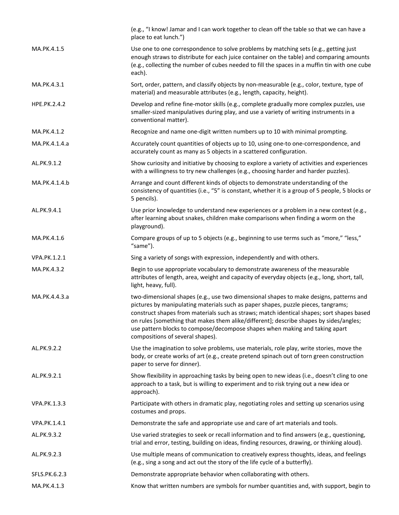|                     | (e.g., "I know! Jamar and I can work together to clean off the table so that we can have a<br>place to eat lunch.")                                                                                                                                                                                                                                                                                                                                                                   |
|---------------------|---------------------------------------------------------------------------------------------------------------------------------------------------------------------------------------------------------------------------------------------------------------------------------------------------------------------------------------------------------------------------------------------------------------------------------------------------------------------------------------|
| MA.PK.4.1.5         | Use one to one correspondence to solve problems by matching sets (e.g., getting just<br>enough straws to distribute for each juice container on the table) and comparing amounts<br>(e.g., collecting the number of cubes needed to fill the spaces in a muffin tin with one cube<br>each).                                                                                                                                                                                           |
| MA.PK.4.3.1         | Sort, order, pattern, and classify objects by non-measurable (e.g., color, texture, type of<br>material) and measurable attributes (e.g., length, capacity, height).                                                                                                                                                                                                                                                                                                                  |
| HPE.PK.2.4.2        | Develop and refine fine-motor skills (e.g., complete gradually more complex puzzles, use<br>smaller-sized manipulatives during play, and use a variety of writing instruments in a<br>conventional matter).                                                                                                                                                                                                                                                                           |
| MA.PK.4.1.2         | Recognize and name one-digit written numbers up to 10 with minimal prompting.                                                                                                                                                                                                                                                                                                                                                                                                         |
| MA.PK.4.1.4.a       | Accurately count quantities of objects up to 10, using one-to one-correspondence, and<br>accurately count as many as 5 objects in a scattered configuration.                                                                                                                                                                                                                                                                                                                          |
| AL.PK.9.1.2         | Show curiosity and initiative by choosing to explore a variety of activities and experiences<br>with a willingness to try new challenges (e.g., choosing harder and harder puzzles).                                                                                                                                                                                                                                                                                                  |
| MA.PK.4.1.4.b       | Arrange and count different kinds of objects to demonstrate understanding of the<br>consistency of quantities (i.e., "5" is constant, whether it is a group of 5 people, 5 blocks or<br>5 pencils).                                                                                                                                                                                                                                                                                   |
| AL.PK.9.4.1         | Use prior knowledge to understand new experiences or a problem in a new context (e.g.,<br>after learning about snakes, children make comparisons when finding a worm on the<br>playground).                                                                                                                                                                                                                                                                                           |
| MA.PK.4.1.6         | Compare groups of up to 5 objects (e.g., beginning to use terms such as "more," "less,"<br>"same").                                                                                                                                                                                                                                                                                                                                                                                   |
| VPA.PK.1.2.1        | Sing a variety of songs with expression, independently and with others.                                                                                                                                                                                                                                                                                                                                                                                                               |
| MA.PK.4.3.2         | Begin to use appropriate vocabulary to demonstrate awareness of the measurable<br>attributes of length, area, weight and capacity of everyday objects (e.g., long, short, tall,<br>light, heavy, full).                                                                                                                                                                                                                                                                               |
| MA.PK.4.4.3.a       | two-dimensional shapes (e.g., use two dimensional shapes to make designs, patterns and<br>pictures by manipulating materials such as paper shapes, puzzle pieces, tangrams;<br>construct shapes from materials such as straws; match identical shapes; sort shapes based<br>on rules [something that makes them alike/different]; describe shapes by sides/angles;<br>use pattern blocks to compose/decompose shapes when making and taking apart<br>compositions of several shapes). |
| AL.PK.9.2.2         | Use the imagination to solve problems, use materials, role play, write stories, move the<br>body, or create works of art (e.g., create pretend spinach out of torn green construction<br>paper to serve for dinner).                                                                                                                                                                                                                                                                  |
| AL.PK.9.2.1         | Show flexibility in approaching tasks by being open to new ideas (i.e., doesn't cling to one<br>approach to a task, but is willing to experiment and to risk trying out a new idea or<br>approach).                                                                                                                                                                                                                                                                                   |
| <b>VPA.PK.1.3.3</b> | Participate with others in dramatic play, negotiating roles and setting up scenarios using<br>costumes and props.                                                                                                                                                                                                                                                                                                                                                                     |
| VPA.PK.1.4.1        | Demonstrate the safe and appropriate use and care of art materials and tools.                                                                                                                                                                                                                                                                                                                                                                                                         |
| AL.PK.9.3.2         | Use varied strategies to seek or recall information and to find answers (e.g., questioning,<br>trial and error, testing, building on ideas, finding resources, drawing, or thinking aloud).                                                                                                                                                                                                                                                                                           |
| AL.PK.9.2.3         | Use multiple means of communication to creatively express thoughts, ideas, and feelings<br>(e.g., sing a song and act out the story of the life cycle of a butterfly).                                                                                                                                                                                                                                                                                                                |
| SFLS.PK.6.2.3       | Demonstrate appropriate behavior when collaborating with others.                                                                                                                                                                                                                                                                                                                                                                                                                      |
| MA.PK.4.1.3         | Know that written numbers are symbols for number quantities and, with support, begin to                                                                                                                                                                                                                                                                                                                                                                                               |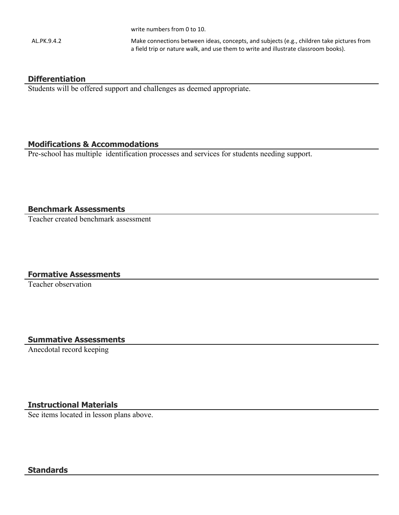write numbers from 0 to 10.

AL.PK.9.4.2 Make connections between ideas, concepts, and subjects (e.g., children take pictures from a field trip or nature walk, and use them to write and illustrate classroom books).

#### **Differentiation**

Students will be offered support and challenges as deemed appropriate.

#### **Modifications & Accommodations**

Pre-school has multiple identification processes and services for students needing support.

#### **Benchmark Assessments**

Teacher created benchmark assessment

# **Formative Assessments**

Teacher observation

# **Summative Assessments**

Anecdotal record keeping

# **Instructional Materials**

See items located in lesson plans above.

### **Standards**